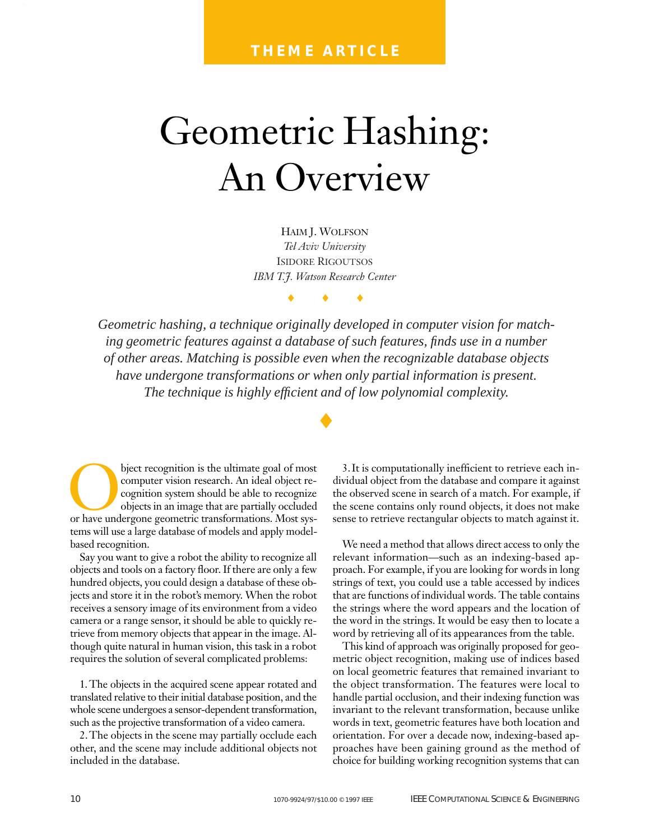# Geometric Hashing: An Overview

HAIM J. WOLFSON *Tel Aviv University* ISIDORE RIGOUTSOS *IBM T.J. Watson Research Center*

♦♦♦

*Geometric hashing, a technique originally developed in computer vision for matching geometric features against a database of such features, finds use in a number of other areas. Matching is possible even when the recognizable database objects have undergone transformations or when only partial information is present. The technique is highly efficient and of low polynomial complexity.*

♦

bject recognition is the ultimate goal of most<br>computer vision research. An ideal object re-<br>cognize objects in an image that are partially occluded<br>or have undergone geometric transformations. Most syscomputer vision research. An ideal object recognition system should be able to recognize objects in an image that are partially occluded tems will use a large database of models and apply modelbased recognition.

Say you want to give a robot the ability to recognize all objects and tools on a factory floor. If there are only a few hundred objects, you could design a database of these objects and store it in the robot's memory. When the robot receives a sensory image of its environment from a video camera or a range sensor, it should be able to quickly retrieve from memory objects that appear in the image. Although quite natural in human vision, this task in a robot requires the solution of several complicated problems:

1. The objects in the acquired scene appear rotated and translated relative to their initial database position, and the whole scene undergoes a sensor-dependent transformation, such as the projective transformation of a video camera.

2.The objects in the scene may partially occlude each other, and the scene may include additional objects not included in the database.

3.It is computationally inefficient to retrieve each individual object from the database and compare it against the observed scene in search of a match. For example, if the scene contains only round objects, it does not make sense to retrieve rectangular objects to match against it.

We need a method that allows direct access to only the relevant information—such as an indexing-based approach. For example, if you are looking for words in long strings of text, you could use a table accessed by indices that are functions of individual words. The table contains the strings where the word appears and the location of the word in the strings. It would be easy then to locate a word by retrieving all of its appearances from the table.

This kind of approach was originally proposed for geometric object recognition, making use of indices based on local geometric features that remained invariant to the object transformation. The features were local to handle partial occlusion, and their indexing function was invariant to the relevant transformation, because unlike words in text, geometric features have both location and orientation. For over a decade now, indexing-based approaches have been gaining ground as the method of choice for building working recognition systems that can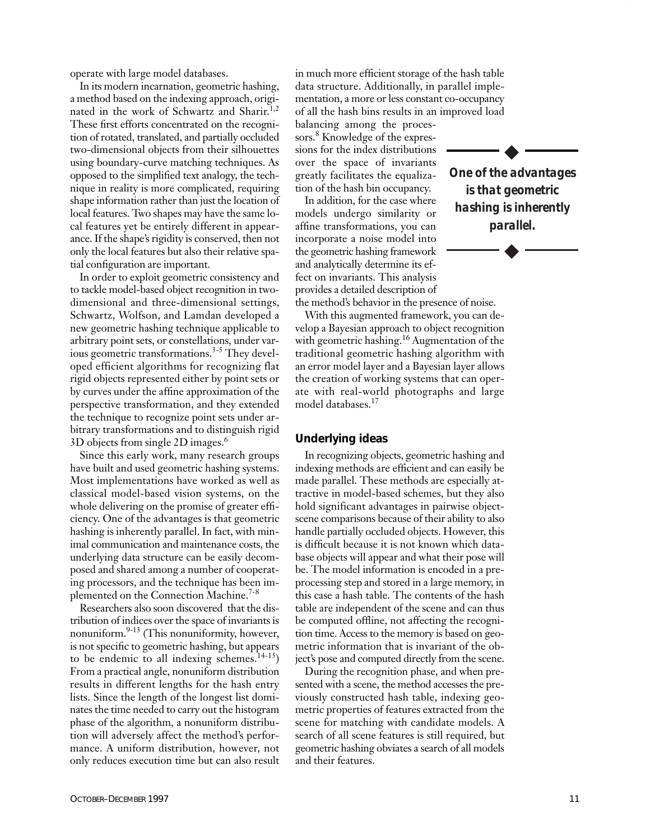operate with large model databases.

In its modern incarnation, geometric hashing, a method based on the indexing approach, originated in the work of Schwartz and Sharir.<sup>1,2</sup> These first efforts concentrated on the recognition of rotated, translated, and partially occluded two-dimensional objects from their silhouettes using boundary-curve matching techniques. As opposed to the simplified text analogy, the technique in reality is more complicated, requiring shape information rather than just the location of local features. Two shapes may have the same local features yet be entirely different in appearance. If the shape's rigidity is conserved, then not only the local features but also their relative spatial configuration are important.

In order to exploit geometric consistency and to tackle model-based object recognition in twodimensional and three-dimensional settings, Schwartz, Wolfson, and Lamdan developed a new geometric hashing technique applicable to arbitrary point sets, or constellations, under various geometric transformations.<sup>3-5</sup> They developed efficient algorithms for recognizing flat rigid objects represented either by point sets or by curves under the affine approximation of the perspective transformation, and they extended the technique to recognize point sets under arbitrary transformations and to distinguish rigid 3D objects from single 2D images.6

Since this early work, many research groups have built and used geometric hashing systems. Most implementations have worked as well as classical model-based vision systems, on the whole delivering on the promise of greater efficiency. One of the advantages is that geometric hashing is inherently parallel. In fact, with minimal communication and maintenance costs, the underlying data structure can be easily decomposed and shared among a number of cooperating processors, and the technique has been implemented on the Connection Machine.<sup>7-8</sup>

Researchers also soon discovered that the distribution of indices over the space of invariants is nonuniform. $9-13$  (This nonuniformity, however, is not specific to geometric hashing, but appears to be endemic to all indexing schemes. $14-15$ ) From a practical angle, nonuniform distribution results in different lengths for the hash entry lists. Since the length of the longest list dominates the time needed to carry out the histogram phase of the algorithm, a nonuniform distribution will adversely affect the method's performance. A uniform distribution, however, not only reduces execution time but can also result

in much more efficient storage of the hash table data structure. Additionally, in parallel implementation, a more or less constant co-occupancy of all the hash bins results in an improved load

balancing among the processors.<sup>8</sup> Knowledge of the expressions for the index distributions over the space of invariants greatly facilitates the equalization of the hash bin occupancy.

In addition, for the case where models undergo similarity or affine transformations, you can incorporate a noise model into the geometric hashing framework and analytically determine its effect on invariants. This analysis provides a detailed description of the method's behavior in the presence of noise.



◆

With this augmented framework, you can develop a Bayesian approach to object recognition with geometric hashing.<sup>16</sup> Augmentation of the traditional geometric hashing algorithm with an error model layer and a Bayesian layer allows the creation of working systems that can operate with real-world photographs and large model databases.<sup>17</sup>

#### **Underlying ideas**

In recognizing objects, geometric hashing and indexing methods are efficient and can easily be made parallel. These methods are especially attractive in model-based schemes, but they also hold significant advantages in pairwise objectscene comparisons because of their ability to also handle partially occluded objects. However, this is difficult because it is not known which database objects will appear and what their pose will be. The model information is encoded in a preprocessing step and stored in a large memory, in this case a hash table. The contents of the hash table are independent of the scene and can thus be computed offline, not affecting the recognition time. Access to the memory is based on geometric information that is invariant of the object's pose and computed directly from the scene.

During the recognition phase, and when presented with a scene, the method accesses the previously constructed hash table, indexing geometric properties of features extracted from the scene for matching with candidate models. A search of all scene features is still required, but geometric hashing obviates a search of all models and their features.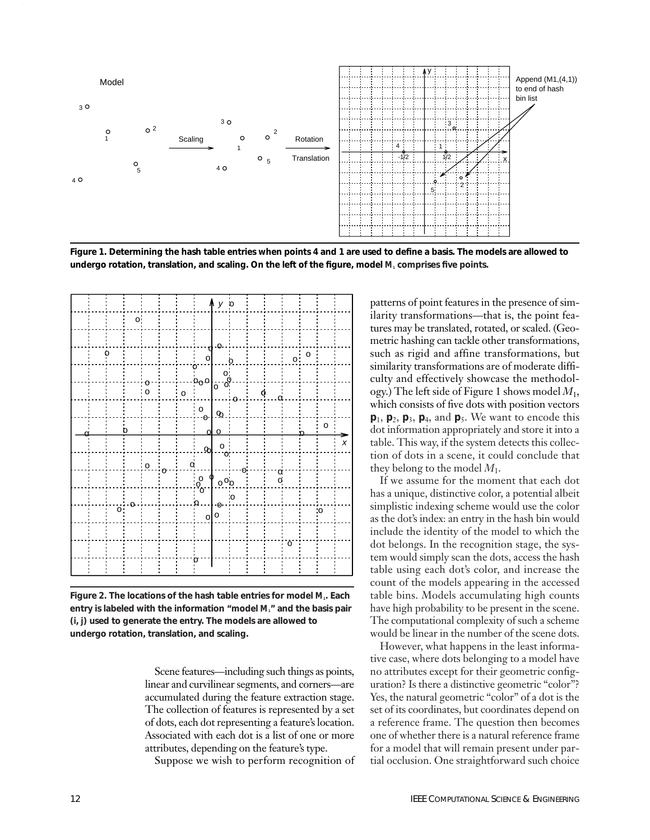

**Figure 1. Determining the hash table entries when points 4 and 1 are used to define a basis. The models are allowed to undergo rotation, translation, and scaling. On the left of the figure, model** *M***<sup>1</sup> comprises five points.** 

|  |                |    |                |          |                |                                     | $\Lambda$ y $\stackrel{}{\circ}$ |          |   |                    |         |         |              |   |
|--|----------------|----|----------------|----------|----------------|-------------------------------------|----------------------------------|----------|---|--------------------|---------|---------|--------------|---|
|  |                | o; |                |          |                |                                     |                                  |          |   |                    |         |         |              |   |
|  |                |    |                |          |                |                                     |                                  |          |   |                    |         |         |              |   |
|  | Ò              |    |                |          |                | ۲l<br>o                             | -0                               |          |   |                    | $\circ$ | $\circ$ |              |   |
|  |                |    |                |          |                | ò.<br>$b_0$ $\circ b_0$ $\circ b_0$ |                                  |          |   |                    |         |         |              |   |
|  |                |    | o<br>o         |          | $\circ$        |                                     |                                  | $\Omega$ | ¢ | $\dot{\mathbf{a}}$ |         |         |              |   |
|  |                |    |                |          |                | $\frac{0}{0}$                       | $\mathfrak{D}$                   |          |   |                    |         |         |              |   |
|  |                | b  |                |          |                |                                     | $\circ$                          |          |   |                    |         |         | $\mathsf{o}$ |   |
|  |                |    |                |          |                | .ജി                                 | $\frac{1}{2}$                    |          |   |                    |         |         |              | X |
|  |                |    | $\overline{0}$ |          | $\overline{a}$ |                                     |                                  | Θ        |   |                    |         |         |              |   |
|  |                |    |                | $\sigma$ |                | $\circ_{\rm o}^{\rm o}$             | $\int_{0}^{0}$ o <sub>.</sub> o  |          |   | $\frac{0}{0}$      |         |         |              |   |
|  |                | Ō  |                |          |                | $\mathbf{o}$                        | -ტ-                              | .<br>о:  |   |                    |         |         |              |   |
|  | $\ddot{\circ}$ |    |                |          |                | $\overline{0}$                      | $\mathsf{o}$                     |          |   |                    |         |         | o:           |   |
|  |                |    |                |          |                |                                     |                                  |          |   |                    |         |         |              |   |
|  |                |    |                |          |                |                                     |                                  |          |   |                    | ö       |         |              |   |
|  |                |    |                |          |                |                                     |                                  |          |   |                    |         |         |              |   |

**Figure 2. The locations of the hash table entries for model** *M***1. Each entry is labeled with the information "model** *M***1" and the basis pair (***i***,** *j***) used to generate the entry. The models are allowed to undergo rotation, translation, and scaling.**

Scene features—including such things as points, linear and curvilinear segments, and corners—are accumulated during the feature extraction stage. The collection of features is represented by a set of dots, each dot representing a feature's location. Associated with each dot is a list of one or more attributes, depending on the feature's type.

Suppose we wish to perform recognition of

patterns of point features in the presence of similarity transformations—that is, the point features may be translated, rotated, or scaled. (Geometric hashing can tackle other transformations, such as rigid and affine transformations, but similarity transformations are of moderate difficulty and effectively showcase the methodology.) The left side of Figure 1 shows model *M*1, which consists of five dots with position vectors **p**1, **p**2, **p**3, **p**4, and **p**5. We want to encode this dot information appropriately and store it into a table. This way, if the system detects this collection of dots in a scene, it could conclude that they belong to the model  $M_1$ .

If we assume for the moment that each dot has a unique, distinctive color, a potential albeit simplistic indexing scheme would use the color as the dot's index: an entry in the hash bin would include the identity of the model to which the dot belongs. In the recognition stage, the system would simply scan the dots, access the hash table using each dot's color, and increase the count of the models appearing in the accessed table bins. Models accumulating high counts have high probability to be present in the scene. The computational complexity of such a scheme would be linear in the number of the scene dots.

However, what happens in the least informative case, where dots belonging to a model have no attributes except for their geometric configuration? Is there a distinctive geometric "color"? Yes, the natural geometric "color" of a dot is the set of its coordinates, but coordinates depend on a reference frame. The question then becomes one of whether there is a natural reference frame for a model that will remain present under partial occlusion. One straightforward such choice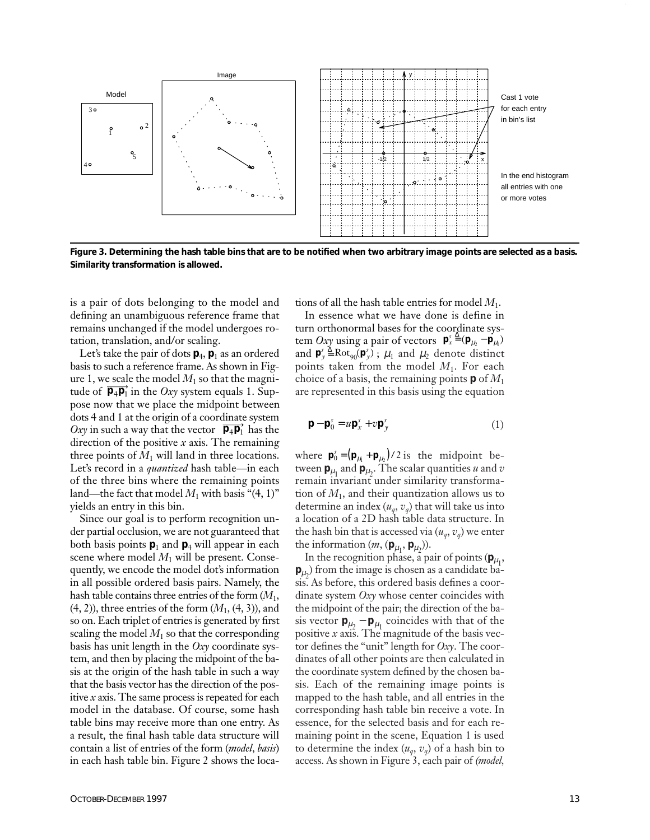

**Figure 3. Determining the hash table bins that are to be notified when two arbitrary image points are selected as a basis. Similarity transformation is allowed.**

is a pair of dots belonging to the model and defining an unambiguous reference frame that remains unchanged if the model undergoes rotation, translation, and/or scaling.

Let's take the pair of dots  $\mathbf{p}_4$ ,  $\mathbf{p}_1$  as an ordered basis to such a reference frame. As shown in Figure 1, we scale the model  $M_1$  so that the magnitude of  $\overrightarrow{p_4p_1}$  in the *Oxy* system equals 1. Suppose now that we place the midpoint between dots 4 and 1 at the origin of a coordinate system Oxy in such a way that the vector  $\overrightarrow{p_4p_1}$  has the direction of the positive *x* axis. The remaining three points of  $M_1$  will land in three locations. Let's record in a *quantized* hash table—in each of the three bins where the remaining points land—the fact that model  $M_1$  with basis "(4, 1)" yields an entry in this bin.

Since our goal is to perform recognition under partial occlusion, we are not guaranteed that both basis points  $\mathbf{p}_1$  and  $\mathbf{p}_4$  will appear in each scene where model  $M_1$  will be present. Consequently, we encode the model dot's information in all possible ordered basis pairs. Namely, the hash table contains three entries of the form (*M*1, (4, 2)), three entries of the form (*M*1, (4, 3)), and so on. Each triplet of entries is generated by first scaling the model  $M_1$  so that the corresponding basis has unit length in the *Oxy* coordinate system, and then by placing the midpoint of the basis at the origin of the hash table in such a way that the basis vector has the direction of the positive *x* axis. The same process is repeated for each model in the database. Of course, some hash table bins may receive more than one entry. As a result, the final hash table data structure will contain a list of entries of the form (*model*, *basis*) in each hash table bin. Figure 2 shows the loca-

tions of all the hash table entries for model *M*1.

In essence what we have done is define in turn orthonormal bases for the coordinate system *Oxy* using a pair of vectors  $\mathbf{p}_x^s \triangleq (\mathbf{p}_{\mu_2} - \mathbf{p}_{\mu_1})$ and  $\mathbf{p}'_y \triangleq \text{Rot}_{90}(\mathbf{p}'_y)$ ;  $\mu_1$  and  $\mu_2$  denote distinct points taken from the model *M*1. For each choice of a basis, the remaining points **p** of *M*<sup>1</sup> are represented in this basis using the equation

$$
\mathbf{p} - \mathbf{p}_0^s = u \mathbf{p}_x^s + v \mathbf{p}_y^s \tag{1}
$$

where  $\mathbf{p}_0^s = (\mathbf{p}_{\mu_1} + \mathbf{p}_{\mu_2})/2$  is the midpoint between  $\mathbf{p}_{\mu_1}$  and  $\mathbf{p}_{\mu_2}$ . The scalar quantities *u* and *v* remain invariant under similarity transformation of  $M_1$ , and their quantization allows us to determine an index  $(u_q, v_q)$  that will take us into a location of a 2D hash table data structure. In the hash bin that is accessed via  $(u_q, v_q)$  we enter the information  $(m, (\mathbf{p}_{\mu_1}, \mathbf{p}_{\mu_2}))$ .

In the recognition phase, a pair of points ( $\mathbf{p}_{\mu_1}$ ,  $\mathbf{p}_{\mu_2}$ ) from the image is chosen as a candidate basis. As before, this ordered basis defines a coordinate system *Oxy* whose center coincides with the midpoint of the pair; the direction of the basis vector  $\mathbf{p}_{\mu_2} - \mathbf{p}_{\mu_1}$  coincides with that of the positive *x* axis. The magnitude of the basis vector defines the "unit" length for *Oxy*. The coordinates of all other points are then calculated in the coordinate system defined by the chosen basis. Each of the remaining image points is mapped to the hash table, and all entries in the corresponding hash table bin receive a vote. In essence, for the selected basis and for each remaining point in the scene, Equation 1 is used to determine the index  $(u_q, v_q)$  of a hash bin to access. As shown in Figure 3, each pair of *(model,*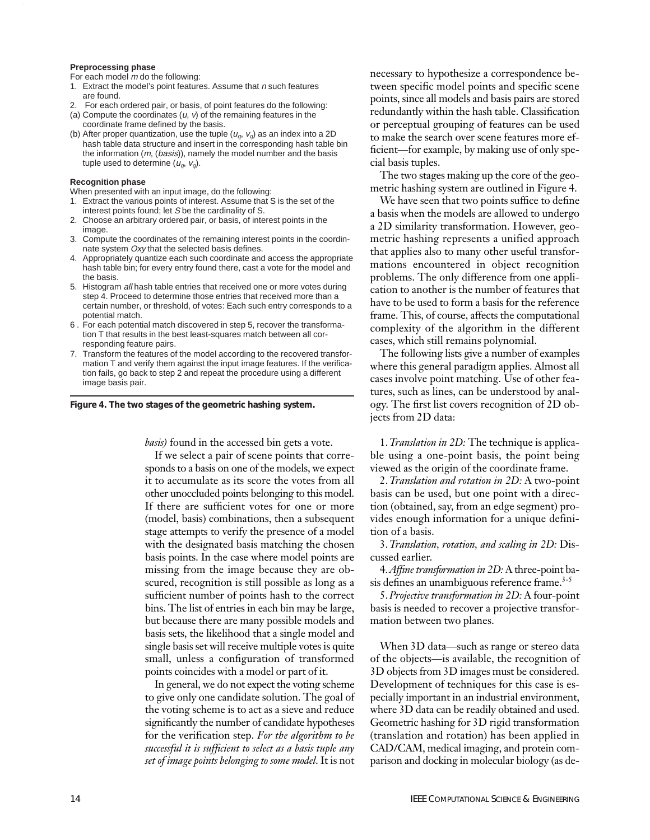#### **Preprocessing phase**

For each model  $m$  do the following:

- 1. Extract the model's point features. Assume that  $n$  such features are found.
- 2. For each ordered pair, or basis, of point features do the following:
- (a) Compute the coordinates  $(u, v)$  of the remaining features in the coordinate frame defined by the basis.
- (b) After proper quantization, use the tuple  $(u_q, v_q)$  as an index into a 2D hash table data structure and insert in the corresponding hash table bin the information (m, (basis)), namely the model number and the basis tuple used to determine  $(u_q, v_q)$ .

#### **Recognition phase**

When presented with an input image, do the following:

- 1. Extract the various points of interest. Assume that S is the set of the interest points found; let S be the cardinality of S.
- 2. Choose an arbitrary ordered pair, or basis, of interest points in the image.
- 3. Compute the coordinates of the remaining interest points in the coordinnate system Oxy that the selected basis defines.
- 4. Appropriately quantize each such coordinate and access the appropriate hash table bin; for every entry found there, cast a vote for the model and the basis.
- 5. Histogram all hash table entries that received one or more votes during step 4. Proceed to determine those entries that received more than a certain number, or threshold, of votes: Each such entry corresponds to a potential match.
- 6 . For each potential match discovered in step 5, recover the transformation T that results in the best least-squares match between all corresponding feature pairs.
- 7. Transform the features of the model according to the recovered transformation T and verify them against the input image features. If the verification fails, go back to step 2 and repeat the procedure using a different image basis pair.



*basis)* found in the accessed bin gets a vote.

If we select a pair of scene points that corresponds to a basis on one of the models, we expect it to accumulate as its score the votes from all other unoccluded points belonging to this model. If there are sufficient votes for one or more (model, basis) combinations, then a subsequent stage attempts to verify the presence of a model with the designated basis matching the chosen basis points. In the case where model points are missing from the image because they are obscured, recognition is still possible as long as a sufficient number of points hash to the correct bins. The list of entries in each bin may be large, but because there are many possible models and basis sets, the likelihood that a single model and single basis set will receive multiple votes is quite small, unless a configuration of transformed points coincides with a model or part of it.

In general, we do not expect the voting scheme to give only one candidate solution. The goal of the voting scheme is to act as a sieve and reduce significantly the number of candidate hypotheses for the verification step. *For the algorithm to be successful it is sufficient to select as a basis tuple any set of image points belonging to some model*. It is not

necessary to hypothesize a correspondence between specific model points and specific scene points, since all models and basis pairs are stored redundantly within the hash table. Classification or perceptual grouping of features can be used to make the search over scene features more efficient—for example, by making use of only special basis tuples.

The two stages making up the core of the geometric hashing system are outlined in Figure 4.

We have seen that two points suffice to define a basis when the models are allowed to undergo a 2D similarity transformation. However, geometric hashing represents a unified approach that applies also to many other useful transformations encountered in object recognition problems. The only difference from one application to another is the number of features that have to be used to form a basis for the reference frame. This, of course, affects the computational complexity of the algorithm in the different cases, which still remains polynomial.

The following lists give a number of examples where this general paradigm applies. Almost all cases involve point matching. Use of other features, such as lines, can be understood by analogy. The first list covers recognition of 2D objects from 2D data:

1.*Translation in 2D:* The technique is applicable using a one-point basis, the point being viewed as the origin of the coordinate frame.

2.*Translation and rotation in 2D:* A two-point basis can be used, but one point with a direction (obtained, say, from an edge segment) provides enough information for a unique definition of a basis.

3.*Translation, rotation, and scaling in 2D:* Discussed earlier.

4.*Affine transformation in 2D:* A three-point basis defines an unambiguous reference frame.<sup>3-5</sup>

5.*Projective transformation in 2D:* A four-point basis is needed to recover a projective transformation between two planes.

When 3D data—such as range or stereo data of the objects—is available, the recognition of 3D objects from 3D images must be considered. Development of techniques for this case is especially important in an industrial environment, where 3D data can be readily obtained and used. Geometric hashing for 3D rigid transformation (translation and rotation) has been applied in CAD/CAM, medical imaging, and protein comparison and docking in molecular biology (as de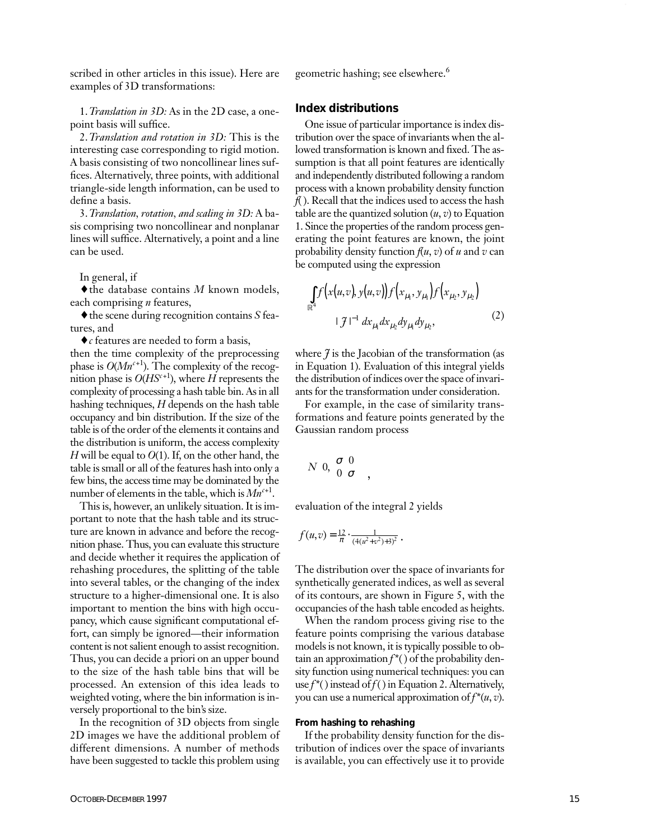scribed in other articles in this issue). Here are examples of 3D transformations:

1.*Translation in 3D:* As in the 2D case, a onepoint basis will suffice.

2.*Translation and rotation in 3D:* This is the interesting case corresponding to rigid motion. A basis consisting of two noncollinear lines suffices. Alternatively, three points, with additional triangle-side length information, can be used to define a basis.

3.*Translation, rotation, and scaling in 3D:* A basis comprising two noncollinear and nonplanar lines will suffice. Alternatively, a point and a line can be used.

In general, if

♦the database contains *M* known models, each comprising *n* features,

♦the scene during recognition contains *S* features, and

♦*c* features are needed to form a basis,

then the time complexity of the preprocessing phase is *O*(*Mn<sup>c</sup>*+1). The complexity of the recognition phase is  $O(HS^{c+1})$ , where *H* represents the complexity of processing a hash table bin. As in all hashing techniques, *H* depends on the hash table occupancy and bin distribution. If the size of the table is of the order of the elements it contains and the distribution is uniform, the access complexity *H* will be equal to *O*(1). If, on the other hand, the table is small or all of the features hash into only a few bins, the access time may be dominated by the number of elements in the table, which is  $Mn^{c+1}$ .

This is, however, an unlikely situation. It is important to note that the hash table and its structure are known in advance and before the recognition phase. Thus, you can evaluate this structure and decide whether it requires the application of rehashing procedures, the splitting of the table into several tables, or the changing of the index structure to a higher-dimensional one. It is also important to mention the bins with high occupancy, which cause significant computational effort, can simply be ignored—their information content is not salient enough to assist recognition. Thus, you can decide a priori on an upper bound to the size of the hash table bins that will be processed. An extension of this idea leads to weighted voting, where the bin information is inversely proportional to the bin's size.

In the recognition of 3D objects from single 2D images we have the additional problem of different dimensions. A number of methods have been suggested to tackle this problem using geometric hashing; see elsewhere.<sup>6</sup>

#### **Index distributions**

One issue of particular importance is index distribution over the space of invariants when the allowed transformation is known and fixed. The assumption is that all point features are identically and independently distributed following a random process with a known probability density function *f*( ). Recall that the indices used to access the hash table are the quantized solution  $(u, v)$  to Equation 1. Since the properties of the random process generating the point features are known, the joint probability density function  $f(u, v)$  of  $u$  and  $v$  can be computed using the expression

$$
\int_{\mathbb{R}^4} f(x(u,v), y(u,v)) f(x_{\mu_1}, y_{\mu_1}) f(x_{\mu_2}, y_{\mu_2})
$$
\n
$$
+ \mathcal{J}^{-1} dx_{\mu_1} dx_{\mu_2} dy_{\mu_1} dy_{\mu_2},
$$
\n(2)

where  $\tilde{\mathcal{J}}$  is the Jacobian of the transformation (as in Equation 1). Evaluation of this integral yields the distribution of indices over the space of invariants for the transformation under consideration.

For example, in the case of similarity transformations and feature points generated by the Gaussian random process

$$
N\!\!\left(0\!\!\left(\begin{array}{cc} \sigma & 0 \\ 0 & \sigma \end{array}\right)\!\!\right),
$$

evaluation of the integral 2 yields

$$
f(u,v) = \frac{12}{\pi} \cdot \frac{1}{(4(u^2+v^2)+3)^2}.
$$

The distribution over the space of invariants for synthetically generated indices, as well as several of its contours, are shown in Figure 5, with the occupancies of the hash table encoded as heights.

When the random process giving rise to the feature points comprising the various database models is not known, it is typically possible to obtain an approximation *f*\*( ) of the probability density function using numerical techniques: you can use  $f^*($  ) instead of  $f$  ( ) in Equation 2. Alternatively, you can use a numerical approximation of *f*\*(*u*, *v*).

#### **From hashing to rehashing**

If the probability density function for the distribution of indices over the space of invariants is available, you can effectively use it to provide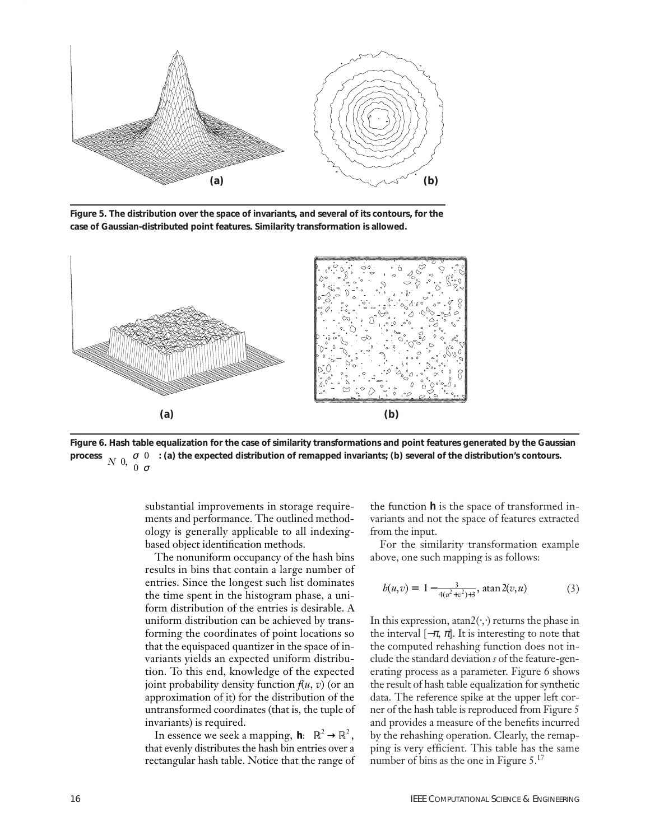

**Figure 5. The distribution over the space of invariants, and several of its contours, for the case of Gaussian-distributed point features. Similarity transformation is allowed.**



**Figure 6. Hash table equalization for the case of similarity transformations and point features generated by the Gaussian process**  $N\left(0,\left(\begin{matrix}\sigma&0\\\0&\sigma\end{matrix}\right)\right)$ : (a) the expected distribution of remapped invariants; (b) several of the distribution's contours.  $\sqrt{\begin{array}{c} \sigma & 0 \\ 0 & \sigma \end{array}}$ l

substantial improvements in storage requirements and performance. The outlined methodology is generally applicable to all indexingbased object identification methods.

The nonuniform occupancy of the hash bins results in bins that contain a large number of entries. Since the longest such list dominates the time spent in the histogram phase, a uniform distribution of the entries is desirable. A uniform distribution can be achieved by transforming the coordinates of point locations so that the equispaced quantizer in the space of invariants yields an expected uniform distribution. To this end, knowledge of the expected joint probability density function  $f(u, v)$  (or an approximation of it) for the distribution of the untransformed coordinates (that is, the tuple of invariants) is required.

In essence we seek a mapping, **h**:  $\mathbb{R}^2 \to \mathbb{R}^2$ , that evenly distributes the hash bin entries over a rectangular hash table. Notice that the range of the function *h* is the space of transformed invariants and not the space of features extracted from the input.

For the similarity transformation example above, one such mapping is as follows:

$$
b(u,v) = \left(1 - \frac{3}{4(u^2 + v^2) + 3}, \operatorname{atan} 2(v, u)\right) \tag{3}
$$

In this expression, atan2( $\cdot$ , ) returns the phase in the interval  $[-\pi, \pi]$ . It is interesting to note that the computed rehashing function does not include the standard deviation *s* of the feature-generating process as a parameter. Figure 6 shows the result of hash table equalization for synthetic data. The reference spike at the upper left corner of the hash table is reproduced from Figure 5 and provides a measure of the benefits incurred by the rehashing operation. Clearly, the remapping is very efficient. This table has the same number of bins as the one in Figure  $5.^{17}$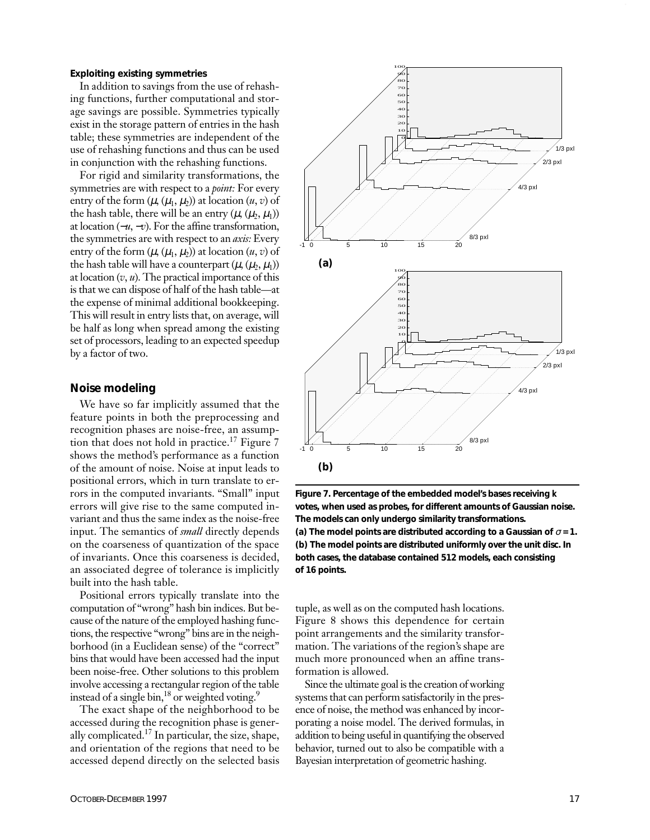#### **Exploiting existing symmetries**

In addition to savings from the use of rehashing functions, further computational and storage savings are possible. Symmetries typically exist in the storage pattern of entries in the hash table; these symmetries are independent of the use of rehashing functions and thus can be used in conjunction with the rehashing functions.

For rigid and similarity transformations, the symmetries are with respect to a *point:* For every entry of the form  $(\mu, (\mu_1, \mu_2))$  at location  $(u, v)$  of the hash table, there will be an entry  $(\mu, (\mu_2, \mu_1))$ at location (−*u*, −*v*). For the affine transformation, the symmetries are with respect to an *axis:* Every entry of the form  $(\mu, (\mu_1, \mu_2))$  at location  $(u, v)$  of the hash table will have a counterpart  $(\mu, (\mu_2, \mu_1))$ at location (*v*, *u*). The practical importance of this is that we can dispose of half of the hash table—at the expense of minimal additional bookkeeping. This will result in entry lists that, on average, will be half as long when spread among the existing set of processors, leading to an expected speedup by a factor of two.

#### **Noise modeling**

We have so far implicitly assumed that the feature points in both the preprocessing and recognition phases are noise-free, an assumption that does not hold in practice.<sup>17</sup> Figure 7 shows the method's performance as a function of the amount of noise. Noise at input leads to positional errors, which in turn translate to errors in the computed invariants. "Small" input errors will give rise to the same computed invariant and thus the same index as the noise-free input. The semantics of *small* directly depends on the coarseness of quantization of the space of invariants. Once this coarseness is decided, an associated degree of tolerance is implicitly built into the hash table.

Positional errors typically translate into the computation of "wrong" hash bin indices. But because of the nature of the employed hashing functions, the respective "wrong" bins are in the neighborhood (in a Euclidean sense) of the "correct" bins that would have been accessed had the input been noise-free. Other solutions to this problem involve accessing a rectangular region of the table instead of a single bin,<sup>18</sup> or weighted voting.<sup>9</sup>

The exact shape of the neighborhood to be accessed during the recognition phase is generally complicated.17 In particular, the size, shape, and orientation of the regions that need to be accessed depend directly on the selected basis



**Figure 7. Percentage of the embedded model's bases receiving** *k* **votes, when used as probes, for different amounts of Gaussian noise. The models can only undergo similarity transformations.** (a) The model points are distributed according to a Gaussian of  $\sigma$  = 1. **(b) The model points are distributed uniformly over the unit disc. In both cases, the database contained 512 models, each consisting of 16 points.** 

tuple, as well as on the computed hash locations. Figure 8 shows this dependence for certain point arrangements and the similarity transformation. The variations of the region's shape are much more pronounced when an affine transformation is allowed.

Since the ultimate goal is the creation of working systems that can perform satisfactorily in the presence of noise, the method was enhanced by incorporating a noise model. The derived formulas, in addition to being useful in quantifying the observed behavior, turned out to also be compatible with a Bayesian interpretation of geometric hashing.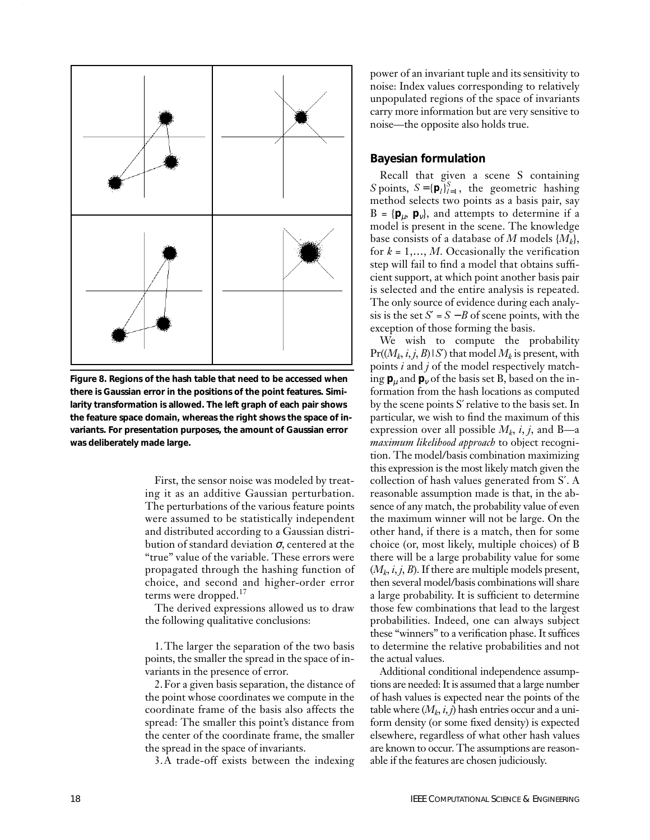

**Figure 8. Regions of the hash table that need to be accessed when there is Gaussian error in the positions of the point features. Similarity transformation is allowed. The left graph of each pair shows the feature space domain, whereas the right shows the space of invariants. For presentation purposes, the amount of Gaussian error was deliberately made large.**

First, the sensor noise was modeled by treating it as an additive Gaussian perturbation. The perturbations of the various feature points were assumed to be statistically independent and distributed according to a Gaussian distribution of standard deviation σ, centered at the "true" value of the variable. These errors were propagated through the hashing function of choice, and second and higher-order error terms were dropped.<sup>17</sup>

The derived expressions allowed us to draw the following qualitative conclusions:

1.The larger the separation of the two basis points, the smaller the spread in the space of invariants in the presence of error.

2.For a given basis separation, the distance of the point whose coordinates we compute in the coordinate frame of the basis also affects the spread: The smaller this point's distance from the center of the coordinate frame, the smaller the spread in the space of invariants.

3.A trade-off exists between the indexing

power of an invariant tuple and its sensitivity to noise: Index values corresponding to relatively unpopulated regions of the space of invariants carry more information but are very sensitive to noise—the opposite also holds true.

#### **Bayesian formulation**

Recall that given a scene S containing *S* points,  $S = {\mathbf{p}_l}_{l=1}^S$ , the geometric hashing method selects two points as a basis pair, say  $B = {\bf p}_u, {\bf p}_v$ , and attempts to determine if a model is present in the scene. The knowledge base consists of a database of *M* models {*Mk*}, for  $k = 1, \ldots, M$ . Occasionally the verification step will fail to find a model that obtains sufficient support, at which point another basis pair is selected and the entire analysis is repeated. The only source of evidence during each analysis is the set  $S' = S − B$  of scene points, with the exception of those forming the basis.

We wish to compute the probability  $Pr((M_k, i, j, B) \mid S')$  that model  $M_k$  is present, with points *i* and *j* of the model respectively matching  $\mathbf{p}_\mu$  and  $\mathbf{p}_\nu$  of the basis set B, based on the information from the hash locations as computed by the scene points S′relative to the basis set. In particular, we wish to find the maximum of this expression over all possible  $M_k$ , *i*, *j*, and B—a *maximum likelihood approach* to object recognition. The model/basis combination maximizing this expression is the most likely match given the collection of hash values generated from S′. A reasonable assumption made is that, in the absence of any match, the probability value of even the maximum winner will not be large. On the other hand, if there is a match, then for some choice (or, most likely, multiple choices) of B there will be a large probability value for some  $(M_k, i, j, B)$ . If there are multiple models present, then several model/basis combinations will share a large probability. It is sufficient to determine those few combinations that lead to the largest probabilities. Indeed, one can always subject these "winners" to a verification phase. It suffices to determine the relative probabilities and not the actual values.

Additional conditional independence assumptions are needed: It is assumed that a large number of hash values is expected near the points of the table where  $(M_k, i, j)$  hash entries occur and a uniform density (or some fixed density) is expected elsewhere, regardless of what other hash values are known to occur. The assumptions are reasonable if the features are chosen judiciously.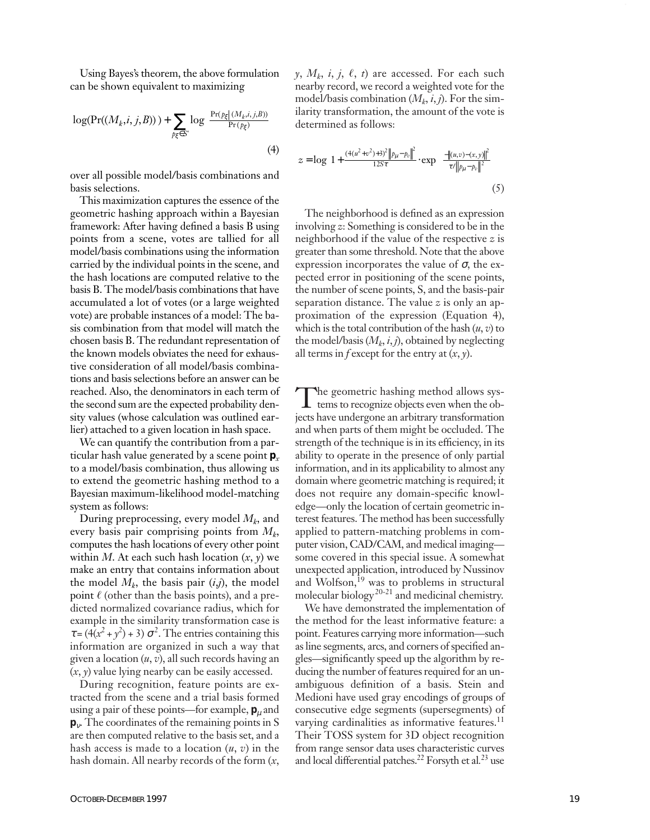Using Bayes's theorem, the above formulation can be shown equivalent to maximizing

$$
\log(\Pr((M_k, i, j, B))) + \sum_{p_{\xi} \in S'} \log\left(\frac{\Pr(p_{\xi} | (M_k, i, j, B))}{\Pr(p_{\xi})}\right)
$$
\n(4)

over all possible model/basis combinations and basis selections.

This maximization captures the essence of the geometric hashing approach within a Bayesian framework: After having defined a basis B using points from a scene, votes are tallied for all model/basis combinations using the information carried by the individual points in the scene, and the hash locations are computed relative to the basis B. The model/basis combinations that have accumulated a lot of votes (or a large weighted vote) are probable instances of a model: The basis combination from that model will match the chosen basis B. The redundant representation of the known models obviates the need for exhaustive consideration of all model/basis combinations and basis selections before an answer can be reached. Also, the denominators in each term of the second sum are the expected probability density values (whose calculation was outlined earlier) attached to a given location in hash space.

We can quantify the contribution from a particular hash value generated by a scene point **p***<sup>x</sup>* to a model/basis combination, thus allowing us to extend the geometric hashing method to a Bayesian maximum-likelihood model-matching system as follows:

During preprocessing, every model *Mk*, and every basis pair comprising points from *Mk*, computes the hash locations of every other point within *M*. At each such hash location  $(x, y)$  we make an entry that contains information about the model  $M_k$ , the basis pair  $(i,j)$ , the model point  $\ell$  (other than the basis points), and a predicted normalized covariance radius, which for example in the similarity transformation case is  $\tau = (4(x^2 + y^2) + 3) \sigma^2$ . The entries containing this information are organized in such a way that given a location (*u*, *v*), all such records having an (*x*, *y*) value lying nearby can be easily accessed.

During recognition, feature points are extracted from the scene and a trial basis formed using a pair of these points—for example,  $\mathbf{p}_u$  and **p**ν. The coordinates of the remaining points in S are then computed relative to the basis set, and a hash access is made to a location (*u*, *v*) in the hash domain. All nearby records of the form (*x*,  $y$ ,  $M_k$ , *i*, *j*,  $\ell$ , *t*) are accessed. For each such nearby record, we record a weighted vote for the model/basis combination  $(M_k, i, j)$ . For the similarity transformation, the amount of the vote is determined as follows:

$$
z = \log \left( 1 + \frac{(4(u^2 + v^2) + 3)^2 ||p_\mu - p_v||^2}{12S\tau} \cdot \exp \left( \frac{-||u,v) - (x,y)||^2}{\tau / ||p_\mu - p_v||^2} \right) \right) \tag{5}
$$

The neighborhood is defined as an expression involving *z*: Something is considered to be in the neighborhood if the value of the respective *z* is greater than some threshold. Note that the above expression incorporates the value of  $\sigma$ , the expected error in positioning of the scene points, the number of scene points, S, and the basis-pair separation distance. The value *z* is only an approximation of the expression (Equation 4), which is the total contribution of the hash (*u*, *v*) to the model/basis  $(M_k, i, j)$ , obtained by neglecting all terms in *f* except for the entry at (*x*, *y*).

The geometric hashing method allows sys-tems to recognize objects even when the objects have undergone an arbitrary transformation and when parts of them might be occluded. The strength of the technique is in its efficiency, in its ability to operate in the presence of only partial information, and in its applicability to almost any domain where geometric matching is required; it does not require any domain-specific knowledge—only the location of certain geometric interest features. The method has been successfully applied to pattern-matching problems in computer vision, CAD/CAM, and medical imaging some covered in this special issue. A somewhat unexpected application, introduced by Nussinov and Wolfson,<sup>19</sup> was to problems in structural molecular biology<sup>20-21</sup> and medicinal chemistry.

We have demonstrated the implementation of the method for the least informative feature: a point. Features carrying more information—such as line segments, arcs, and corners of specified angles—significantly speed up the algorithm by reducing the number of features required for an unambiguous definition of a basis. Stein and Medioni have used gray encodings of groups of consecutive edge segments (supersegments) of varying cardinalities as informative features.<sup>11</sup> Their TOSS system for 3D object recognition from range sensor data uses characteristic curves and local differential patches.22 Forsyth et al*.* <sup>23</sup> use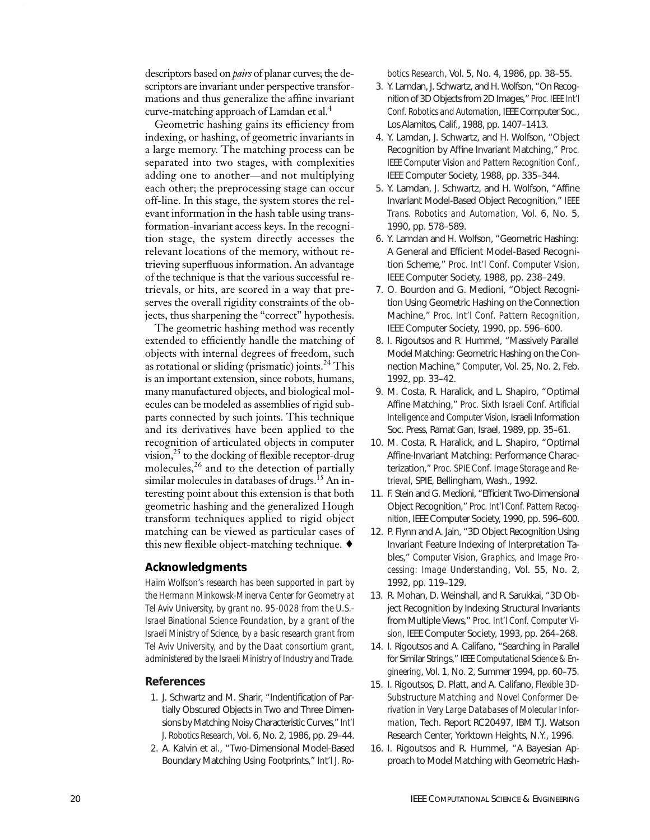descriptors based on *pairs* of planar curves; the descriptors are invariant under perspective transformations and thus generalize the affine invariant curve-matching approach of Lamdan et al.<sup>4</sup>

Geometric hashing gains its efficiency from indexing, or hashing, of geometric invariants in a large memory. The matching process can be separated into two stages, with complexities adding one to another—and not multiplying each other; the preprocessing stage can occur off-line. In this stage, the system stores the relevant information in the hash table using transformation-invariant access keys. In the recognition stage, the system directly accesses the relevant locations of the memory, without retrieving superfluous information. An advantage of the technique is that the various successful retrievals, or hits, are scored in a way that preserves the overall rigidity constraints of the objects, thus sharpening the "correct" hypothesis.

The geometric hashing method was recently extended to efficiently handle the matching of objects with internal degrees of freedom, such as rotational or sliding (prismatic) joints. $^{24}$  This is an important extension, since robots, humans, many manufactured objects, and biological molecules can be modeled as assemblies of rigid subparts connected by such joints. This technique and its derivatives have been applied to the recognition of articulated objects in computer vision, $^{25}$  to the docking of flexible receptor-drug molecules, $^{26}$  and to the detection of partially similar molecules in databases of drugs.<sup>15</sup> An interesting point about this extension is that both geometric hashing and the generalized Hough transform techniques applied to rigid object matching can be viewed as particular cases of this new flexible object-matching technique. ♦

#### **Acknowledgments**

*Haim Wolfson's research has been supported in part by the Hermann Minkowsk-Minerva Center for Geometry at Tel Aviv University, by grant no. 95-0028 from the U.S.- Israel Binational Science Foundation, by a grant of the Israeli Ministry of Science, by a basic research grant from Tel Aviv University, and by the Daat consortium grant, administered by the Israeli Ministry of Industry and Trade.*

#### **References**

- 1. J. Schwartz and M. Sharir, "Indentification of Partially Obscured Objects in Two and Three Dimensions by Matching Noisy Characteristic Curves," *Int'l J. Robotics Research*, Vol. 6, No. 2, 1986, pp. 29–44.
- 2. A. Kalvin et al., "Two-Dimensional Model-Based Boundary Matching Using Footprints," *Int'l J. Ro-*

*botics Research*, Vol. 5, No. 4, 1986, pp. 38–55.

- 3. Y. Lamdan, J. Schwartz, and H. Wolfson, "On Recognition of 3D Objects from 2D Images," *Proc. IEEE Int'l Conf. Robotics and Automation*, IEEE Computer Soc., Los Alamitos, Calif., 1988, pp. 1407–1413.
- 4. Y. Lamdan, J. Schwartz, and H. Wolfson, "Object Recognition by Affine Invariant Matching," *Proc. IEEE Computer Vision and Pattern Recognition Conf.*, IEEE Computer Society, 1988, pp. 335–344.
- 5. Y. Lamdan, J. Schwartz, and H. Wolfson, "Affine Invariant Model-Based Object Recognition," *IEEE Trans. Robotics and Automation*, Vol. 6, No. 5, 1990, pp. 578–589.
- 6. Y. Lamdan and H. Wolfson, "Geometric Hashing: A General and Efficient Model-Based Recognition Scheme," *Proc. Int'l Conf. Computer Vision*, IEEE Computer Society, 1988, pp. 238–249.
- 7. O. Bourdon and G. Medioni, "Object Recognition Using Geometric Hashing on the Connection Machine," *Proc. Int'l Conf. Pattern Recognition*, IEEE Computer Society, 1990, pp. 596–600.
- 8. I. Rigoutsos and R. Hummel, "Massively Parallel Model Matching: Geometric Hashing on the Connection Machine," *Computer*, Vol. 25, No. 2, Feb. 1992, pp. 33–42.
- 9. M. Costa, R. Haralick, and L. Shapiro, "Optimal Affine Matching," *Proc. Sixth Israeli Conf. Artificial Intelligence and Computer Vision*, Israeli Information Soc. Press, Ramat Gan, Israel, 1989, pp. 35–61.
- 10. M. Costa, R. Haralick, and L. Shapiro, "Optimal Affine-Invariant Matching: Performance Characterization," *Proc. SPIE Conf. Image Storage and Retrieval*, SPIE, Bellingham, Wash., 1992.
- 11. F. Stein and G. Medioni, "Efficient Two-Dimensional Object Recognition," *Proc. Int'l Conf. Pattern Recognition*, IEEE Computer Society, 1990, pp. 596–600.
- 12. P. Flynn and A. Jain, "3D Object Recognition Using Invariant Feature Indexing of Interpretation Tables," *Computer Vision, Graphics, and Image Processing: Image Understanding*, Vol. 55, No. 2, 1992, pp. 119–129.
- 13. R. Mohan, D. Weinshall, and R. Sarukkai, "3D Object Recognition by Indexing Structural Invariants from Multiple Views," *Proc. Int'l Conf. Computer Vision*, IEEE Computer Society, 1993, pp. 264–268.
- 14. I. Rigoutsos and A. Califano, "Searching in Parallel for Similar Strings," *IEEE Computational Science & Engineering*, Vol. 1, No. 2, Summer 1994, pp. 60–75.
- 15. I. Rigoutsos, D. Platt, and A. Califano, *Flexible 3D-Substructure Matching and Novel Conformer Derivation in Very Large Databases of Molecular Information,* Tech. Report RC20497, IBM T.J. Watson Research Center, Yorktown Heights, N.Y., 1996.
- 16. I. Rigoutsos and R. Hummel, "A Bayesian Approach to Model Matching with Geometric Hash-